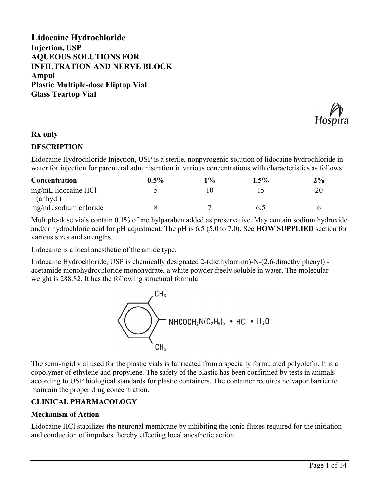**Lidocaine Hydrochloride Injection, USP AQUEOUS SOLUTIONS FOR INFILTRATION AND NERVE BLOCK Ampul Plastic Multiple-dose Fliptop Vial Glass Teartop Vial**



# **Rx only**

### **DESCRIPTION**

Lidocaine Hydrochloride Injection, USP is a sterile, nonpyrogenic solution of lidocaine hydrochloride in water for injection for parenteral administration in various concentrations with characteristics as follows:

| <b>Concentration</b>              | $0.5\%$ | 19/0 | $1.5\%$ | 2% |  |
|-----------------------------------|---------|------|---------|----|--|
| mg/mL lidocaine HCl               |         |      |         |    |  |
| (anhyd.)<br>mg/mL sodium chloride |         |      |         |    |  |

Multiple-dose vials contain 0.1% of methylparaben added as preservative. May contain sodium hydroxide and/or hydrochloric acid for pH adjustment. The pH is 6.5 (5.0 to 7.0). See **HOW SUPPLIED** section for various sizes and strengths.

Lidocaine is a local anesthetic of the amide type.

Lidocaine Hydrochloride, USP is chemically designated 2-(diethylamino)-N-(2,6-dimethylphenyl) acetamide monohydrochloride monohydrate, a white powder freely soluble in water. The molecular weight is 288.82. It has the following structural formula:



The semi-rigid vial used for the plastic vials is fabricated from a specially formulated polyolefin. It is a copolymer of ethylene and propylene. The safety of the plastic has been confirmed by tests in animals according to USP biological standards for plastic containers. The container requires no vapor barrier to maintain the proper drug concentration.

### **CLINICAL PHARMACOLOGY**

### **Mechanism of Action**

Lidocaine HCl stabilizes the neuronal membrane by inhibiting the ionic fluxes required for the initiation and conduction of impulses thereby effecting local anesthetic action.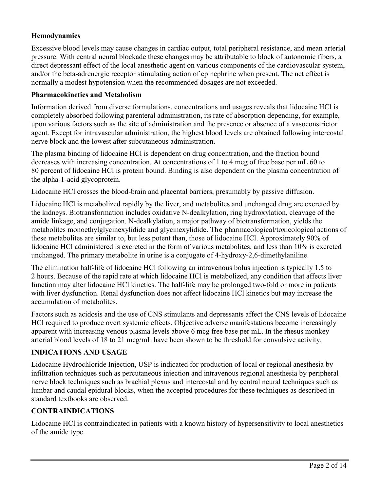# **Hemodynamics**

Excessive blood levels may cause changes in cardiac output, total peripheral resistance, and mean arterial pressure. With central neural blockade these changes may be attributable to block of autonomic fibers, a direct depressant effect of the local anesthetic agent on various components of the cardiovascular system, and/or the beta-adrenergic receptor stimulating action of epinephrine when present. The net effect is normally a modest hypotension when the recommended dosages are not exceeded.

#### **Pharmacokinetics and Metabolism**

Information derived from diverse formulations, concentrations and usages reveals that lidocaine HCl is completely absorbed following parenteral administration, its rate of absorption depending, for example, upon various factors such as the site of administration and the presence or absence of a vasoconstrictor agent. Except for intravascular administration, the highest blood levels are obtained following intercostal nerve block and the lowest after subcutaneous administration.

The plasma binding of lidocaine HCl is dependent on drug concentration, and the fraction bound decreases with increasing concentration. At concentrations of 1 to 4 mcg of free base per mL 60 to 80 percent of lidocaine HCl is protein bound. Binding is also dependent on the plasma concentration of the alpha-1-acid glycoprotein.

Lidocaine HCl crosses the blood-brain and placental barriers, presumably by passive diffusion.

Lidocaine HCl is metabolized rapidly by the liver, and metabolites and unchanged drug are excreted by the kidneys. Biotransformation includes oxidative N-dealkylation, ring hydroxylation, cleavage of the amide linkage, and conjugation. N-dealkylation, a major pathway of biotransformation, yields the metabolites monoethylglycinexylidide and glycinexylidide. The pharmacological/toxicological actions of these metabolites are similar to, but less potent than, those of lidocaine HCl. Approximately 90% of lidocaine HCl administered is excreted in the form of various metabolites, and less than 10% is excreted unchanged. The primary metabolite in urine is a conjugate of 4-hydroxy-2,6-dimethylaniline.

The elimination half-life of lidocaine HCl following an intravenous bolus injection is typically 1.5 to 2 hours. Because of the rapid rate at which lidocaine HCl is metabolized, any condition that affects liver function may alter lidocaine HCl kinetics. The half-life may be prolonged two-fold or more in patients with liver dysfunction. Renal dysfunction does not affect lidocaine HCl kinetics but may increase the accumulation of metabolites.

Factors such as acidosis and the use of CNS stimulants and depressants affect the CNS levels of lidocaine HCl required to produce overt systemic effects. Objective adverse manifestations become increasingly apparent with increasing venous plasma levels above 6 mcg free base per mL. In the rhesus monkey arterial blood levels of 18 to 21 mcg/mL have been shown to be threshold for convulsive activity.

### **INDICATIONS AND USAGE**

Lidocaine Hydrochloride Injection, USP is indicated for production of local or regional anesthesia by infiltration techniques such as percutaneous injection and intravenous regional anesthesia by peripheral nerve block techniques such as brachial plexus and intercostal and by central neural techniques such as lumbar and caudal epidural blocks, when the accepted procedures for these techniques as described in standard textbooks are observed.

### **CONTRAINDICATIONS**

Lidocaine HCl is contraindicated in patients with a known history of hypersensitivity to local anesthetics of the amide type.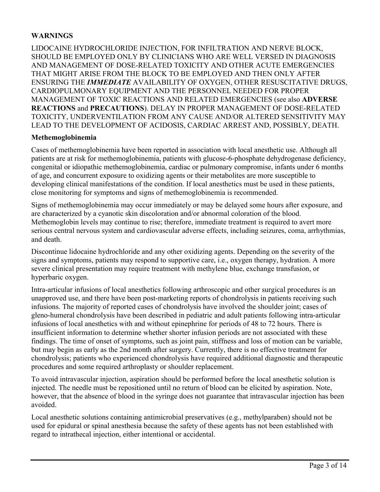# **WARNINGS**

LIDOCAINE HYDROCHLORIDE INJECTION, FOR INFILTRATION AND NERVE BLOCK, SHOULD BE EMPLOYED ONLY BY CLINICIANS WHO ARE WELL VERSED IN DIAGNOSIS AND MANAGEMENT OF DOSE-RELATED TOXICITY AND OTHER ACUTE EMERGENCIES THAT MIGHT ARISE FROM THE BLOCK TO BE EMPLOYED AND THEN ONLY AFTER ENSURING THE *IMMEDIATE* AVAILABILITY OF OXYGEN, OTHER RESUSCITATIVE DRUGS, CARDIOPULMONARY EQUIPMENT AND THE PERSONNEL NEEDED FOR PROPER MANAGEMENT OF TOXIC REACTIONS AND RELATED EMERGENCIES (see also **ADVERSE REACTIONS** and **PRECAUTIONS**). DELAY IN PROPER MANAGEMENT OF DOSE-RELATED TOXICITY, UNDERVENTILATION FROM ANY CAUSE AND/OR ALTERED SENSITIVITY MAY LEAD TO THE DEVELOPMENT OF ACIDOSIS, CARDIAC ARREST AND, POSSIBLY, DEATH.

#### **Methemoglobinemia**

Cases of methemoglobinemia have been reported in association with local anesthetic use. Although all patients are at risk for methemoglobinemia, patients with glucose-6-phosphate dehydrogenase deficiency, congenital or idiopathic methemoglobinemia, cardiac or pulmonary compromise, infants under 6 months of age, and concurrent exposure to oxidizing agents or their metabolites are more susceptible to developing clinical manifestations of the condition. If local anesthetics must be used in these patients, close monitoring for symptoms and signs of methemoglobinemia is recommended.

Signs of methemoglobinemia may occur immediately or may be delayed some hours after exposure, and are characterized by a cyanotic skin discoloration and/or abnormal coloration of the blood. Methemoglobin levels may continue to rise; therefore, immediate treatment is required to avert more serious central nervous system and cardiovascular adverse effects, including seizures, coma, arrhythmias, and death.

Discontinue lidocaine hydrochloride and any other oxidizing agents. Depending on the severity of the signs and symptoms, patients may respond to supportive care, i.e., oxygen therapy, hydration. A more severe clinical presentation may require treatment with methylene blue, exchange transfusion, or hyperbaric oxygen.

Intra-articular infusions of local anesthetics following arthroscopic and other surgical procedures is an unapproved use, and there have been post-marketing reports of chondrolysis in patients receiving such infusions. The majority of reported cases of chondrolysis have involved the shoulder joint; cases of gleno-humeral chondrolysis have been described in pediatric and adult patients following intra-articular infusions of local anesthetics with and without epinephrine for periods of 48 to 72 hours. There is insufficient information to determine whether shorter infusion periods are not associated with these findings. The time of onset of symptoms, such as joint pain, stiffness and loss of motion can be variable, but may begin as early as the 2nd month after surgery. Currently, there is no effective treatment for chondrolysis; patients who experienced chondrolysis have required additional diagnostic and therapeutic procedures and some required arthroplasty or shoulder replacement.

To avoid intravascular injection, aspiration should be performed before the local anesthetic solution is injected. The needle must be repositioned until no return of blood can be elicited by aspiration. Note, however, that the absence of blood in the syringe does not guarantee that intravascular injection has been avoided.

Local anesthetic solutions containing antimicrobial preservatives (e.g., methylparaben) should not be used for epidural or spinal anesthesia because the safety of these agents has not been established with regard to intrathecal injection, either intentional or accidental.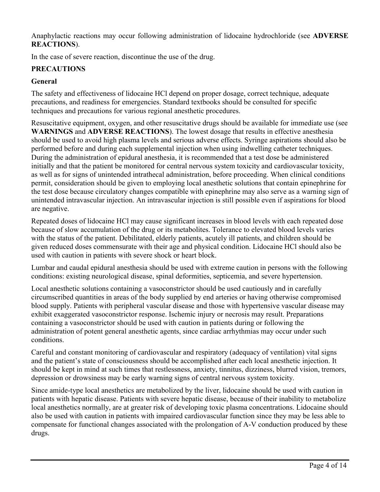Anaphylactic reactions may occur following administration of lidocaine hydrochloride (see **ADVERSE REACTIONS**).

In the case of severe reaction, discontinue the use of the drug.

# **PRECAUTIONS**

## **General**

The safety and effectiveness of lidocaine HCl depend on proper dosage, correct technique, adequate precautions, and readiness for emergencies. Standard textbooks should be consulted for specific techniques and precautions for various regional anesthetic procedures.

Resuscitative equipment, oxygen, and other resuscitative drugs should be available for immediate use (see **WARNINGS** and **ADVERSE REACTIONS**). The lowest dosage that results in effective anesthesia should be used to avoid high plasma levels and serious adverse effects. Syringe aspirations should also be performed before and during each supplemental injection when using indwelling catheter techniques. During the administration of epidural anesthesia, it is recommended that a test dose be administered initially and that the patient be monitored for central nervous system toxicity and cardiovascular toxicity, as well as for signs of unintended intrathecal administration, before proceeding. When clinical conditions permit, consideration should be given to employing local anesthetic solutions that contain epinephrine for the test dose because circulatory changes compatible with epinephrine may also serve as a warning sign of unintended intravascular injection. An intravascular injection is still possible even if aspirations for blood are negative.

Repeated doses of lidocaine HCl may cause significant increases in blood levels with each repeated dose because of slow accumulation of the drug or its metabolites. Tolerance to elevated blood levels varies with the status of the patient. Debilitated, elderly patients, acutely ill patients, and children should be given reduced doses commensurate with their age and physical condition. Lidocaine HCl should also be used with caution in patients with severe shock or heart block.

Lumbar and caudal epidural anesthesia should be used with extreme caution in persons with the following conditions: existing neurological disease, spinal deformities, septicemia, and severe hypertension.

Local anesthetic solutions containing a vasoconstrictor should be used cautiously and in carefully circumscribed quantities in areas of the body supplied by end arteries or having otherwise compromised blood supply. Patients with peripheral vascular disease and those with hypertensive vascular disease may exhibit exaggerated vasoconstrictor response. Ischemic injury or necrosis may result. Preparations containing a vasoconstrictor should be used with caution in patients during or following the administration of potent general anesthetic agents, since cardiac arrhythmias may occur under such conditions.

Careful and constant monitoring of cardiovascular and respiratory (adequacy of ventilation) vital signs and the patient's state of consciousness should be accomplished after each local anesthetic injection. It should be kept in mind at such times that restlessness, anxiety, tinnitus, dizziness, blurred vision, tremors, depression or drowsiness may be early warning signs of central nervous system toxicity.

Since amide-type local anesthetics are metabolized by the liver, lidocaine should be used with caution in patients with hepatic disease. Patients with severe hepatic disease, because of their inability to metabolize local anesthetics normally, are at greater risk of developing toxic plasma concentrations. Lidocaine should also be used with caution in patients with impaired cardiovascular function since they may be less able to compensate for functional changes associated with the prolongation of A-V conduction produced by these drugs.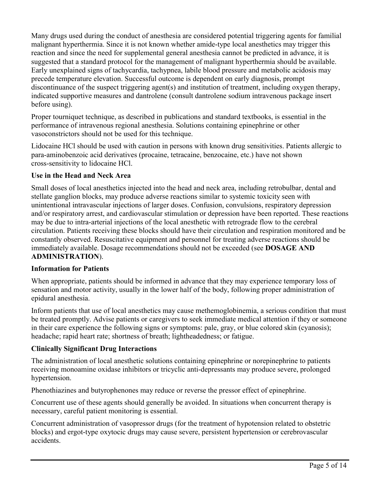Many drugs used during the conduct of anesthesia are considered potential triggering agents for familial malignant hyperthermia. Since it is not known whether amide-type local anesthetics may trigger this reaction and since the need for supplemental general anesthesia cannot be predicted in advance, it is suggested that a standard protocol for the management of malignant hyperthermia should be available. Early unexplained signs of tachycardia, tachypnea, labile blood pressure and metabolic acidosis may precede temperature elevation. Successful outcome is dependent on early diagnosis, prompt discontinuance of the suspect triggering agent(s) and institution of treatment, including oxygen therapy, indicated supportive measures and dantrolene (consult dantrolene sodium intravenous package insert before using).

Proper tourniquet technique, as described in publications and standard textbooks, is essential in the performance of intravenous regional anesthesia. Solutions containing epinephrine or other vasoconstrictors should not be used for this technique.

Lidocaine HCl should be used with caution in persons with known drug sensitivities. Patients allergic to para-aminobenzoic acid derivatives (procaine, tetracaine, benzocaine, etc.) have not shown cross-sensitivity to lidocaine HCl.

# **Use in the Head and Neck Area**

Small doses of local anesthetics injected into the head and neck area, including retrobulbar, dental and stellate ganglion blocks, may produce adverse reactions similar to systemic toxicity seen with unintentional intravascular injections of larger doses. Confusion, convulsions, respiratory depression and/or respiratory arrest, and cardiovascular stimulation or depression have been reported. These reactions may be due to intra-arterial injections of the local anesthetic with retrograde flow to the cerebral circulation. Patients receiving these blocks should have their circulation and respiration monitored and be constantly observed. Resuscitative equipment and personnel for treating adverse reactions should be immediately available. Dosage recommendations should not be exceeded (see **DOSAGE AND ADMINISTRATION**).

### **Information for Patients**

When appropriate, patients should be informed in advance that they may experience temporary loss of sensation and motor activity, usually in the lower half of the body, following proper administration of epidural anesthesia.

Inform patients that use of local anesthetics may cause methemoglobinemia, a serious condition that must be treated promptly. Advise patients or caregivers to seek immediate medical attention if they or someone in their care experience the following signs or symptoms: pale, gray, or blue colored skin (cyanosis); headache; rapid heart rate; shortness of breath; lightheadedness; or fatigue.

# **Clinically Significant Drug Interactions**

The administration of local anesthetic solutions containing epinephrine or norepinephrine to patients receiving monoamine oxidase inhibitors or tricyclic anti-depressants may produce severe, prolonged hypertension.

Phenothiazines and butyrophenones may reduce or reverse the pressor effect of epinephrine.

Concurrent use of these agents should generally be avoided. In situations when concurrent therapy is necessary, careful patient monitoring is essential.

Concurrent administration of vasopressor drugs (for the treatment of hypotension related to obstetric blocks) and ergot-type oxytocic drugs may cause severe, persistent hypertension or cerebrovascular accidents.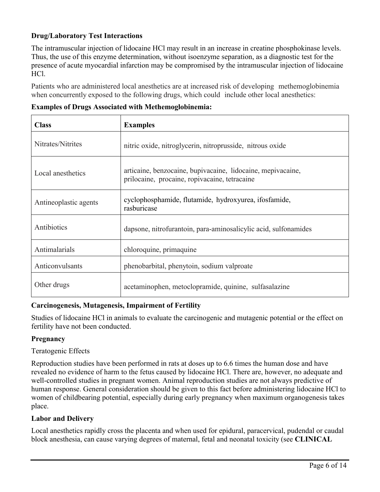# **Drug/Laboratory Test Interactions**

The intramuscular injection of lidocaine HCl may result in an increase in creatine phosphokinase levels. Thus, the use of this enzyme determination, without isoenzyme separation, as a diagnostic test for the presence of acute myocardial infarction may be compromised by the intramuscular injection of lidocaine HCl.

Patients who are administered local anesthetics are at increased risk of developing methemoglobinemia when concurrently exposed to the following drugs, which could include other local anesthetics:

| <b>Class</b>          | <b>Examples</b>                                                                                              |
|-----------------------|--------------------------------------------------------------------------------------------------------------|
| Nitrates/Nitrites     | nitric oxide, nitroglycerin, nitroprusside, nitrous oxide                                                    |
| Local anesthetics     | articaine, benzocaine, bupivacaine, lidocaine, mepivacaine,<br>prilocaine, procaine, ropivacaine, tetracaine |
| Antineoplastic agents | cyclophosphamide, flutamide, hydroxyurea, ifosfamide,<br>rasburicase                                         |
| Antibiotics           | dapsone, nitrofurantoin, para-aminosalicylic acid, sulfonamides                                              |
| Antimalarials         | chloroquine, primaquine                                                                                      |
| Anticonvulsants       | phenobarbital, phenytoin, sodium valproate                                                                   |
| Other drugs           | acetaminophen, metoclopramide, quinine, sulfasalazine                                                        |

|  | <b>Examples of Drugs Associated with Methemoglobinemia:</b> |  |  |
|--|-------------------------------------------------------------|--|--|
|  |                                                             |  |  |

### **Carcinogenesis, Mutagenesis, Impairment of Fertility**

Studies of lidocaine HCl in animals to evaluate the carcinogenic and mutagenic potential or the effect on fertility have not been conducted.

### **Pregnancy**

### Teratogenic Effects

Reproduction studies have been performed in rats at doses up to 6.6 times the human dose and have revealed no evidence of harm to the fetus caused by lidocaine HCl. There are, however, no adequate and well-controlled studies in pregnant women. Animal reproduction studies are not always predictive of human response. General consideration should be given to this fact before administering lidocaine HCl to women of childbearing potential, especially during early pregnancy when maximum organogenesis takes place.

### **Labor and Delivery**

Local anesthetics rapidly cross the placenta and when used for epidural, paracervical, pudendal or caudal block anesthesia, can cause varying degrees of maternal, fetal and neonatal toxicity (see **CLINICAL**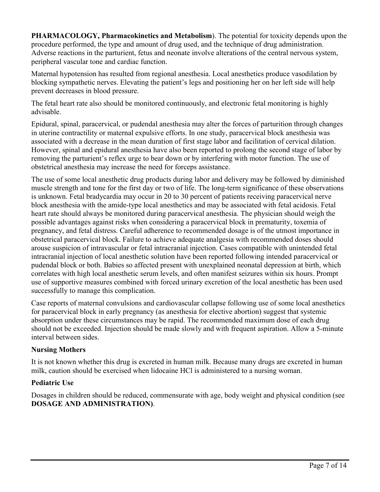**PHARMACOLOGY, Pharmacokinetics and Metabolism**). The potential for toxicity depends upon the procedure performed, the type and amount of drug used, and the technique of drug administration. Adverse reactions in the parturient, fetus and neonate involve alterations of the central nervous system, peripheral vascular tone and cardiac function.

Maternal hypotension has resulted from regional anesthesia. Local anesthetics produce vasodilation by blocking sympathetic nerves. Elevating the patient's legs and positioning her on her left side will help prevent decreases in blood pressure.

The fetal heart rate also should be monitored continuously, and electronic fetal monitoring is highly advisable.

Epidural, spinal, paracervical, or pudendal anesthesia may alter the forces of parturition through changes in uterine contractility or maternal expulsive efforts. In one study, paracervical block anesthesia was associated with a decrease in the mean duration of first stage labor and facilitation of cervical dilation. However, spinal and epidural anesthesia have also been reported to prolong the second stage of labor by removing the parturient's reflex urge to bear down or by interfering with motor function. The use of obstetrical anesthesia may increase the need for forceps assistance.

The use of some local anesthetic drug products during labor and delivery may be followed by diminished muscle strength and tone for the first day or two of life. The long-term significance of these observations is unknown. Fetal bradycardia may occur in 20 to 30 percent of patients receiving paracervical nerve block anesthesia with the amide-type local anesthetics and may be associated with fetal acidosis. Fetal heart rate should always be monitored during paracervical anesthesia. The physician should weigh the possible advantages against risks when considering a paracervical block in prematurity, toxemia of pregnancy, and fetal distress. Careful adherence to recommended dosage is of the utmost importance in obstetrical paracervical block. Failure to achieve adequate analgesia with recommended doses should arouse suspicion of intravascular or fetal intracranial injection. Cases compatible with unintended fetal intracranial injection of local anesthetic solution have been reported following intended paracervical or pudendal block or both. Babies so affected present with unexplained neonatal depression at birth, which correlates with high local anesthetic serum levels, and often manifest seizures within six hours. Prompt use of supportive measures combined with forced urinary excretion of the local anesthetic has been used successfully to manage this complication.

Case reports of maternal convulsions and cardiovascular collapse following use of some local anesthetics for paracervical block in early pregnancy (as anesthesia for elective abortion) suggest that systemic absorption under these circumstances may be rapid. The recommended maximum dose of each drug should not be exceeded. Injection should be made slowly and with frequent aspiration. Allow a 5-minute interval between sides.

### **Nursing Mothers**

It is not known whether this drug is excreted in human milk. Because many drugs are excreted in human milk, caution should be exercised when lidocaine HCl is administered to a nursing woman.

### **Pediatric Use**

Dosages in children should be reduced, commensurate with age, body weight and physical condition (see **DOSAGE AND ADMINISTRATION)**.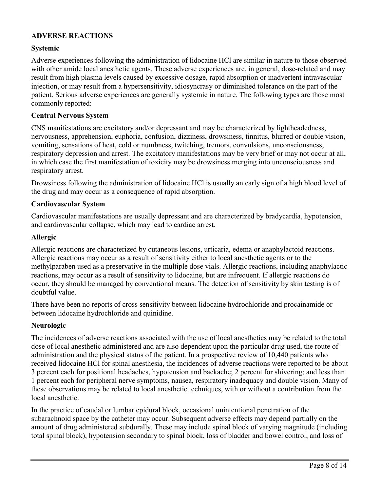### **ADVERSE REACTIONS**

### **Systemic**

Adverse experiences following the administration of lidocaine HCl are similar in nature to those observed with other amide local anesthetic agents. These adverse experiences are, in general, dose-related and may result from high plasma levels caused by excessive dosage, rapid absorption or inadvertent intravascular injection, or may result from a hypersensitivity, idiosyncrasy or diminished tolerance on the part of the patient. Serious adverse experiences are generally systemic in nature. The following types are those most commonly reported:

#### **Central Nervous System**

CNS manifestations are excitatory and/or depressant and may be characterized by lightheadedness, nervousness, apprehension, euphoria, confusion, dizziness, drowsiness, tinnitus, blurred or double vision, vomiting, sensations of heat, cold or numbness, twitching, tremors, convulsions, unconsciousness, respiratory depression and arrest. The excitatory manifestations may be very brief or may not occur at all, in which case the first manifestation of toxicity may be drowsiness merging into unconsciousness and respiratory arrest.

Drowsiness following the administration of lidocaine HCl is usually an early sign of a high blood level of the drug and may occur as a consequence of rapid absorption.

#### **Cardiovascular System**

Cardiovascular manifestations are usually depressant and are characterized by bradycardia, hypotension, and cardiovascular collapse, which may lead to cardiac arrest.

#### **Allergic**

Allergic reactions are characterized by cutaneous lesions, urticaria, edema or anaphylactoid reactions. Allergic reactions may occur as a result of sensitivity either to local anesthetic agents or to the methylparaben used as a preservative in the multiple dose vials. Allergic reactions, including anaphylactic reactions, may occur as a result of sensitivity to lidocaine, but are infrequent. If allergic reactions do occur, they should be managed by conventional means. The detection of sensitivity by skin testing is of doubtful value.

There have been no reports of cross sensitivity between lidocaine hydrochloride and procainamide or between lidocaine hydrochloride and quinidine.

#### **Neurologic**

The incidences of adverse reactions associated with the use of local anesthetics may be related to the total dose of local anesthetic administered and are also dependent upon the particular drug used, the route of administration and the physical status of the patient. In a prospective review of 10,440 patients who received lidocaine HCl for spinal anesthesia, the incidences of adverse reactions were reported to be about 3 percent each for positional headaches, hypotension and backache; 2 percent for shivering; and less than 1 percent each for peripheral nerve symptoms, nausea, respiratory inadequacy and double vision. Many of these observations may be related to local anesthetic techniques, with or without a contribution from the local anesthetic.

In the practice of caudal or lumbar epidural block, occasional unintentional penetration of the subarachnoid space by the catheter may occur. Subsequent adverse effects may depend partially on the amount of drug administered subdurally. These may include spinal block of varying magnitude (including total spinal block), hypotension secondary to spinal block, loss of bladder and bowel control, and loss of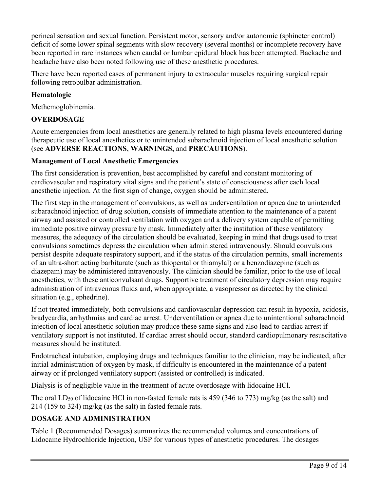perineal sensation and sexual function. Persistent motor, sensory and/or autonomic (sphincter control) deficit of some lower spinal segments with slow recovery (several months) or incomplete recovery have been reported in rare instances when caudal or lumbar epidural block has been attempted. Backache and headache have also been noted following use of these anesthetic procedures.

There have been reported cases of permanent injury to extraocular muscles requiring surgical repair following retrobulbar administration.

# **Hematologic**

Methemoglobinemia.

# **OVERDOSAGE**

Acute emergencies from local anesthetics are generally related to high plasma levels encountered during therapeutic use of local anesthetics or to unintended subarachnoid injection of local anesthetic solution (see **ADVERSE REACTIONS**, **WARNINGS,** and **PRECAUTIONS**).

# **Management of Local Anesthetic Emergencies**

The first consideration is prevention, best accomplished by careful and constant monitoring of cardiovascular and respiratory vital signs and the patient's state of consciousness after each local anesthetic injection. At the first sign of change, oxygen should be administered.

The first step in the management of convulsions, as well as underventilation or apnea due to unintended subarachnoid injection of drug solution, consists of immediate attention to the maintenance of a patent airway and assisted or controlled ventilation with oxygen and a delivery system capable of permitting immediate positive airway pressure by mask. Immediately after the institution of these ventilatory measures, the adequacy of the circulation should be evaluated, keeping in mind that drugs used to treat convulsions sometimes depress the circulation when administered intravenously. Should convulsions persist despite adequate respiratory support, and if the status of the circulation permits, small increments of an ultra-short acting barbiturate (such as thiopental or thiamylal) or a benzodiazepine (such as diazepam) may be administered intravenously. The clinician should be familiar, prior to the use of local anesthetics, with these anticonvulsant drugs. Supportive treatment of circulatory depression may require administration of intravenous fluids and, when appropriate, a vasopressor as directed by the clinical situation (e.g., ephedrine).

If not treated immediately, both convulsions and cardiovascular depression can result in hypoxia, acidosis, bradycardia, arrhythmias and cardiac arrest. Underventilation or apnea due to unintentional subarachnoid injection of local anesthetic solution may produce these same signs and also lead to cardiac arrest if ventilatory support is not instituted. If cardiac arrest should occur, standard cardiopulmonary resuscitative measures should be instituted.

Endotracheal intubation, employing drugs and techniques familiar to the clinician, may be indicated, after initial administration of oxygen by mask, if difficulty is encountered in the maintenance of a patent airway or if prolonged ventilatory support (assisted or controlled) is indicated.

Dialysis is of negligible value in the treatment of acute overdosage with lidocaine HCl.

The oral  $LD_{50}$  of lidocaine HCl in non-fasted female rats is 459 (346 to 773) mg/kg (as the salt) and 214 (159 to 324) mg/kg (as the salt) in fasted female rats.

# **DOSAGE AND ADMINISTRATION**

Table 1 (Recommended Dosages) summarizes the recommended volumes and concentrations of Lidocaine Hydrochloride Injection, USP for various types of anesthetic procedures. The dosages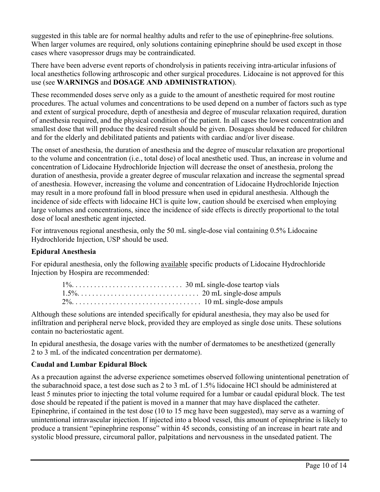suggested in this table are for normal healthy adults and refer to the use of epinephrine-free solutions. When larger volumes are required, only solutions containing epinephrine should be used except in those cases where vasopressor drugs may be contraindicated.

There have been adverse event reports of chondrolysis in patients receiving intra-articular infusions of local anesthetics following arthroscopic and other surgical procedures. Lidocaine is not approved for this use (see **WARNINGS** and **DOSAGE AND ADMINISTRATION**).

These recommended doses serve only as a guide to the amount of anesthetic required for most routine procedures. The actual volumes and concentrations to be used depend on a number of factors such as type and extent of surgical procedure, depth of anesthesia and degree of muscular relaxation required, duration of anesthesia required, and the physical condition of the patient. In all cases the lowest concentration and smallest dose that will produce the desired result should be given. Dosages should be reduced for children and for the elderly and debilitated patients and patients with cardiac and/or liver disease.

The onset of anesthesia, the duration of anesthesia and the degree of muscular relaxation are proportional to the volume and concentration (i.e., total dose) of local anesthetic used. Thus, an increase in volume and concentration of Lidocaine Hydrochloride Injection will decrease the onset of anesthesia, prolong the duration of anesthesia, provide a greater degree of muscular relaxation and increase the segmental spread of anesthesia. However, increasing the volume and concentration of Lidocaine Hydrochloride Injection may result in a more profound fall in blood pressure when used in epidural anesthesia. Although the incidence of side effects with lidocaine HCl is quite low, caution should be exercised when employing large volumes and concentrations, since the incidence of side effects is directly proportional to the total dose of local anesthetic agent injected.

For intravenous regional anesthesia, only the 50 mL single-dose vial containing 0.5% Lidocaine Hydrochloride Injection, USP should be used.

# **Epidural Anesthesia**

For epidural anesthesia, only the following available specific products of Lidocaine Hydrochloride Injection by Hospira are recommended:

Although these solutions are intended specifically for epidural anesthesia, they may also be used for infiltration and peripheral nerve block, provided they are employed as single dose units. These solutions contain no bacteriostatic agent.

In epidural anesthesia, the dosage varies with the number of dermatomes to be anesthetized (generally 2 to 3 mL of the indicated concentration per dermatome).

# **Caudal and Lumbar Epidural Block**

As a precaution against the adverse experience sometimes observed following unintentional penetration of the subarachnoid space, a test dose such as 2 to 3 mL of 1.5% lidocaine HCl should be administered at least 5 minutes prior to injecting the total volume required for a lumbar or caudal epidural block. The test dose should be repeated if the patient is moved in a manner that may have displaced the catheter. Epinephrine, if contained in the test dose (10 to 15 mcg have been suggested), may serve as a warning of unintentional intravascular injection. If injected into a blood vessel, this amount of epinephrine is likely to produce a transient "epinephrine response" within 45 seconds, consisting of an increase in heart rate and systolic blood pressure, circumoral pallor, palpitations and nervousness in the unsedated patient. The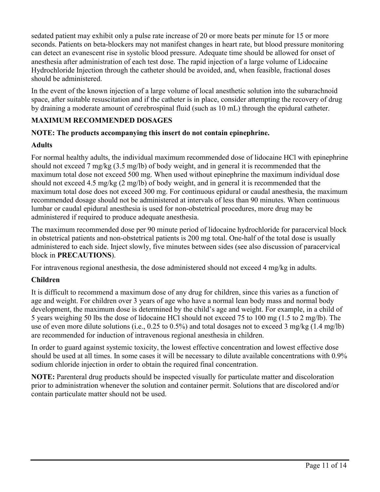sedated patient may exhibit only a pulse rate increase of 20 or more beats per minute for 15 or more seconds. Patients on beta-blockers may not manifest changes in heart rate, but blood pressure monitoring can detect an evanescent rise in systolic blood pressure. Adequate time should be allowed for onset of anesthesia after administration of each test dose. The rapid injection of a large volume of Lidocaine Hydrochloride Injection through the catheter should be avoided, and, when feasible, fractional doses should be administered.

In the event of the known injection of a large volume of local anesthetic solution into the subarachnoid space, after suitable resuscitation and if the catheter is in place, consider attempting the recovery of drug by draining a moderate amount of cerebrospinal fluid (such as 10 mL) through the epidural catheter.

# **MAXIMUM RECOMMENDED DOSAGES**

# **NOTE: The products accompanying this insert do not contain epinephrine.**

### **Adults**

For normal healthy adults, the individual maximum recommended dose of lidocaine HCl with epinephrine should not exceed 7 mg/kg (3.5 mg/lb) of body weight, and in general it is recommended that the maximum total dose not exceed 500 mg. When used without epinephrine the maximum individual dose should not exceed 4.5 mg/kg (2 mg/lb) of body weight, and in general it is recommended that the maximum total dose does not exceed 300 mg. For continuous epidural or caudal anesthesia, the maximum recommended dosage should not be administered at intervals of less than 90 minutes. When continuous lumbar or caudal epidural anesthesia is used for non-obstetrical procedures, more drug may be administered if required to produce adequate anesthesia.

The maximum recommended dose per 90 minute period of lidocaine hydrochloride for paracervical block in obstetrical patients and non-obstetrical patients is 200 mg total. One-half of the total dose is usually administered to each side. Inject slowly, five minutes between sides (see also discussion of paracervical block in **PRECAUTIONS**).

For intravenous regional anesthesia, the dose administered should not exceed 4 mg/kg in adults.

# **Children**

It is difficult to recommend a maximum dose of any drug for children, since this varies as a function of age and weight. For children over 3 years of age who have a normal lean body mass and normal body development, the maximum dose is determined by the child's age and weight. For example, in a child of 5 years weighing 50 lbs the dose of lidocaine HCl should not exceed 75 to 100 mg (1.5 to 2 mg/lb). The use of even more dilute solutions (i.e.,  $0.25$  to  $0.5\%$ ) and total dosages not to exceed 3 mg/kg (1.4 mg/lb) are recommended for induction of intravenous regional anesthesia in children.

In order to guard against systemic toxicity, the lowest effective concentration and lowest effective dose should be used at all times. In some cases it will be necessary to dilute available concentrations with 0.9% sodium chloride injection in order to obtain the required final concentration.

**NOTE:** Parenteral drug products should be inspected visually for particulate matter and discoloration prior to administration whenever the solution and container permit. Solutions that are discolored and/or contain particulate matter should not be used.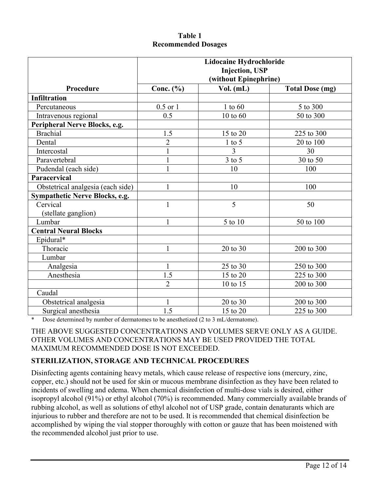### **Table 1 Recommended Dosages**

|                                   | Lidocaine Hydrochloride<br><b>Injection</b> , USP<br>(without Epinephrine) |            |                        |  |
|-----------------------------------|----------------------------------------------------------------------------|------------|------------------------|--|
| Procedure                         | Conc. $(\% )$                                                              | Vol. (mL)  | <b>Total Dose (mg)</b> |  |
| <b>Infiltration</b>               |                                                                            |            |                        |  |
| Percutaneous                      | $0.5$ or $1$                                                               | 1 to $60$  | 5 to 300               |  |
| Intravenous regional              | 0.5                                                                        | 10 to 60   | 50 to 300              |  |
| Peripheral Nerve Blocks, e.g.     |                                                                            |            |                        |  |
| <b>Brachial</b>                   | 1.5                                                                        | 15 to 20   | 225 to 300             |  |
| Dental                            | $\overline{2}$                                                             | $1$ to $5$ | 20 to 100              |  |
| Intercostal                       | $\mathbf{1}$                                                               | 3          | 30                     |  |
| Paravertebral                     | $\mathbf{1}$                                                               | $3$ to $5$ | 30 to 50               |  |
| Pudendal (each side)              | $\mathbf{1}$                                                               | 10         | 100                    |  |
| Paracervical                      |                                                                            |            |                        |  |
| Obstetrical analgesia (each side) | 1                                                                          | 10         | 100                    |  |
| Sympathetic Nerve Blocks, e.g.    |                                                                            |            |                        |  |
| Cervical                          | $\mathbf{1}$                                                               | 5          | 50                     |  |
| (stellate ganglion)               |                                                                            |            |                        |  |
| Lumbar                            | $\mathbf{1}$                                                               | 5 to 10    | 50 to 100              |  |
| <b>Central Neural Blocks</b>      |                                                                            |            |                        |  |
| Epidural*                         |                                                                            |            |                        |  |
| Thoracic                          | 1                                                                          | 20 to 30   | 200 to 300             |  |
| Lumbar                            |                                                                            |            |                        |  |
| Analgesia                         | 1                                                                          | 25 to 30   | 250 to 300             |  |
| Anesthesia                        | 1.5                                                                        | 15 to 20   | 225 to 300             |  |
|                                   | $\overline{2}$                                                             | 10 to 15   | 200 to 300             |  |
| Caudal                            |                                                                            |            |                        |  |
| Obstetrical analgesia             | 1                                                                          | 20 to 30   | 200 to 300             |  |
| Surgical anesthesia               | $\overline{1.5}$                                                           | 15 to 20   | 225 to 300             |  |

\* Dose determined by number of dermatomes to be anesthetized (2 to 3 mL/dermatome).

THE ABOVE SUGGESTED CONCENTRATIONS AND VOLUMES SERVE ONLY AS A GUIDE. OTHER VOLUMES AND CONCENTRATIONS MAY BE USED PROVIDED THE TOTAL MAXIMUM RECOMMENDED DOSE IS NOT EXCEEDED.

# **STERILIZATION, STORAGE AND TECHNICAL PROCEDURES**

Disinfecting agents containing heavy metals, which cause release of respective ions (mercury, zinc, copper, etc.) should not be used for skin or mucous membrane disinfection as they have been related to incidents of swelling and edema. When chemical disinfection of multi-dose vials is desired, either isopropyl alcohol (91%) or ethyl alcohol (70%) is recommended. Many commercially available brands of rubbing alcohol, as well as solutions of ethyl alcohol not of USP grade, contain denaturants which are injurious to rubber and therefore are not to be used. It is recommended that chemical disinfection be accomplished by wiping the vial stopper thoroughly with cotton or gauze that has been moistened with the recommended alcohol just prior to use.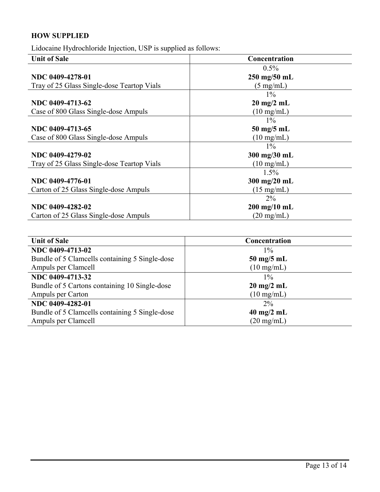# **HOW SUPPLIED**

Lidocaine Hydrochloride Injection, USP is supplied as follows:

| <b>Unit of Sale</b>                        | Concentration                  |  |  |
|--------------------------------------------|--------------------------------|--|--|
|                                            | $0.5\%$                        |  |  |
| NDC 0409-4278-01                           | 250 mg/50 mL                   |  |  |
| Tray of 25 Glass Single-dose Teartop Vials | $(5 \text{ mg/mL})$            |  |  |
|                                            | $1\%$                          |  |  |
| NDC 0409-4713-62                           | $20 \text{ mg}/2 \text{ mL}$   |  |  |
| Case of 800 Glass Single-dose Ampuls       | $(10 \text{ mg/mL})$           |  |  |
|                                            | $1\%$                          |  |  |
| NDC 0409-4713-65                           | $50 \text{ mg}/5 \text{ mL}$   |  |  |
| Case of 800 Glass Single-dose Ampuls       | $(10 \text{ mg/mL})$           |  |  |
|                                            | $1\%$                          |  |  |
| NDC 0409-4279-02                           | 300 mg/30 mL                   |  |  |
| Tray of 25 Glass Single-dose Teartop Vials | $(10 \text{ mg/mL})$           |  |  |
|                                            | $1.5\%$                        |  |  |
| NDC 0409-4776-01                           | 300 mg/20 mL                   |  |  |
| Carton of 25 Glass Single-dose Ampuls      | $(15 \text{ mg/mL})$           |  |  |
|                                            | $2\%$                          |  |  |
| NDC 0409-4282-02                           | $200 \text{ mg}/10 \text{ mL}$ |  |  |
| Carton of 25 Glass Single-dose Ampuls      | $(20 \text{ mg/mL})$           |  |  |

| <b>Unit of Sale</b>                            | Concentration                |
|------------------------------------------------|------------------------------|
| NDC 0409-4713-02                               | $1\%$                        |
| Bundle of 5 Clamcells containing 5 Single-dose | $50 \text{ mg}/5 \text{ mL}$ |
| Ampuls per Clamcell                            | $(10 \text{ mg/mL})$         |
| NDC 0409-4713-32                               | $1\%$                        |
| Bundle of 5 Cartons containing 10 Single-dose  | $20 \text{ mg}/2 \text{ mL}$ |
| Ampuls per Carton                              | $(10 \text{ mg/mL})$         |
| NDC 0409-4282-01                               | $2\%$                        |
| Bundle of 5 Clamcells containing 5 Single-dose | $40 \text{ mg}/2 \text{ mL}$ |
| Ampuls per Clamcell                            | $(20 \text{ mg/mL})$         |